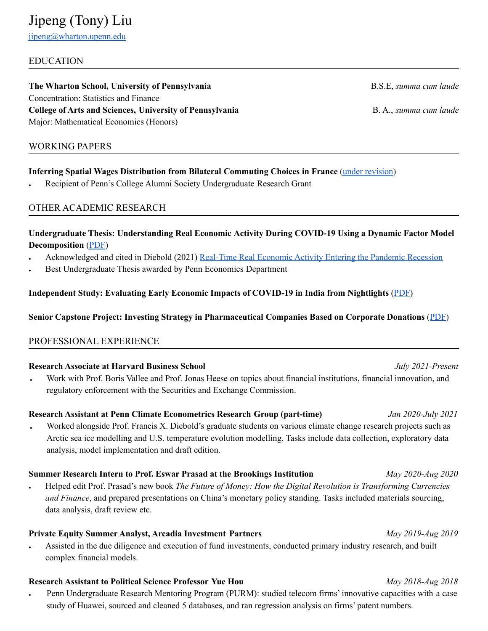# EDUCATION

**The Wharton School, University of Pennsylvania** B.S.E, *summa cum laude* Concentration: Statistics and Finance **College of Arts and Sciences, University of Pennsylvania** B. A., *summa cum laude* Major: Mathematical Economics (Honors)

# WORKING PAPERS

# **Inferring Spatial Wages Distribution from Bilateral Commuting Choices in France** (under [revision](https://drive.google.com/file/d/1yYUOVHfzTnW7Ul9IciXwBRtwd0ZOTVUG/view?usp=sharing))

Recipient of Penn's College Alumni Society Undergraduate Research Grant

# OTHER ACADEMIC RESEARCH

# **Undergraduate Thesis: Understanding Real Economic Activity During COVID-19 Using a Dynamic Factor Model Decomposition** [\(PDF](https://drive.google.com/file/d/1M3eQWIhMR7B7hUtjC7z62-Ajhcs6ZxIv/view?usp=sharing))

- Acknowledged and cited in Diebold (2021) [Real-Time](https://arxiv.org/pdf/2006.15183.pdf) Real Economic Activity Entering the Pandemic Recession
- Best Undergraduate Thesis awarded by Penn Economics Department

# **Independent Study: Evaluating Early Economic Impacts of COVID-19 in India from Nightlights** [\(PDF\)](https://drive.google.com/file/d/1H-ryfGL8Oh0nFQtEuFYQ3QR3YUYNJDfp/view?usp=sharing)

# **Senior Capstone Project: Investing Strategy in Pharmaceutical Companies Based on Corporate Donations** ([PDF\)](https://drive.google.com/file/d/1-b23ML0aAYdCAcZSUEQeQltU5NjX_AVs/view?usp=sharing)

# PROFESSIONAL EXPERIENCE

# **Research Associate at Harvard Business School** *July 2021-Present*

Work with Prof. Boris Vallee and Prof. Jonas Heese on topics about financial institutions, financial innovation, and regulatory enforcement with the Securities and Exchange Commission.

### **Research Assistant at Penn Climate Econometrics Research Group (part-time)** *Jan 2020-July 2021*

Worked alongside Prof. Francis X. Diebold's graduate students on various climate change research projects such as Arctic sea ice modelling and U.S. temperature evolution modelling. Tasks include data collection, exploratory data analysis, model implementation and draft edition.

# **Summer Research Intern to Prof. Eswar Prasad at the Brookings Institution** *May 2020-Aug 2020*

● Helped edit Prof. Prasad's new book *The Future of Money: How the Digital Revolution is Transforming Currencies and Finance*, and prepared presentations on China's monetary policy standing. Tasks included materials sourcing, data analysis, draft review etc.

# **Private Equity Summer Analyst, Arcadia Investment Partners** *May 2019-Aug 2019*

Assisted in the due diligence and execution of fund investments, conducted primary industry research, and built complex financial models.

# **Research Assistant to Political Science Professor Yue Hou** *May 2018-Aug 2018*

Penn Undergraduate Research Mentoring Program (PURM): studied telecom firms' innovative capacities with a case study of Huawei, sourced and cleaned 5 databases, and ran regression analysis on firms' patent numbers.